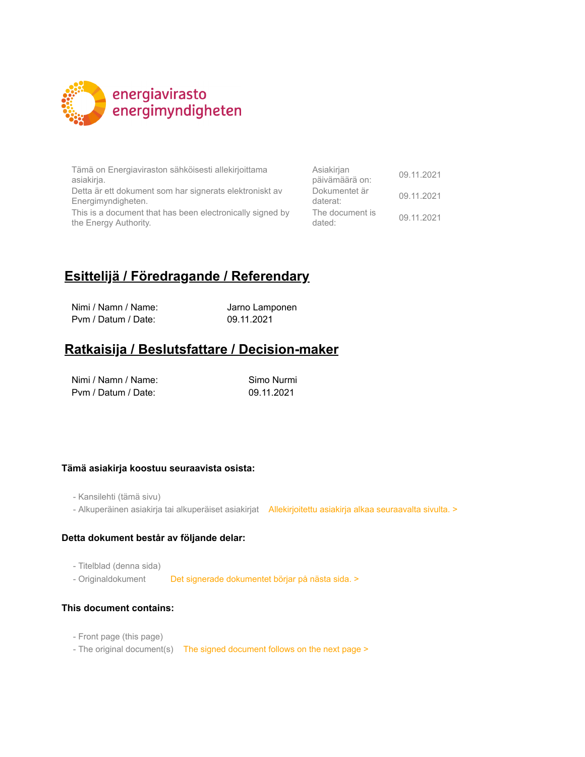

Tämä on Energiaviraston sähköisesti allekirjoittama asiakirja.

Detta är ett dokument som har signerats elektroniskt av Energimyndigheten.

This is a document that has been electronically signed by the Energy Authority.

| Asiakirjan<br>päivämäärä on: | 09.11.2021 |
|------------------------------|------------|
| Dokumentet är<br>daterat:    | 09.11.2021 |
| The document is<br>dated:    | 09.11.2021 |

# **Esittelijä / Föredragande / Referendary**

Nimi / Namn / Name: Jarno Lamponen Pvm / Datum / Date: 09.11.2021

## **Ratkaisija / Beslutsfattare / Decision-maker**

| Nimi / Namn / Name: | Simo Nurmi |
|---------------------|------------|
| Pym / Datum / Date: | 09.11.2021 |

## **Tämä asiakirja koostuu seuraavista osista:**

- Kansilehti (tämä sivu)

- Alkuperäinen asiakirja tai alkuperäiset asiakirjat Allekirjoitettu asiakirja alkaa seuraavalta sivulta. >

#### **Detta dokument består av följande delar:**

- Titelblad (denna sida)

- Originaldokument Det signerade dokumentet börjar på nästa sida. >

#### **This document contains:**

- Front page (this page)
- The original document(s) The signed document follows on the next page >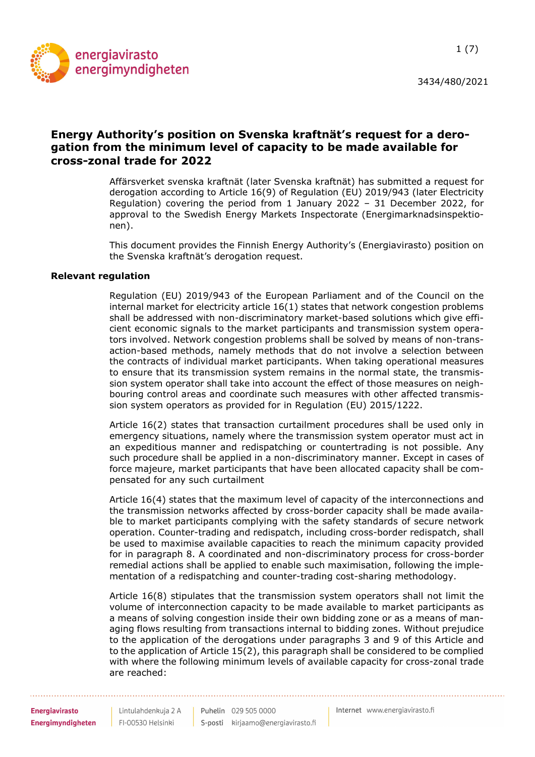

## Energy Authority's position on Svenska kraftnät's request for a derogation from the minimum level of capacity to be made available for cross-zonal trade for 2022

Affärsverket svenska kraftnät (later Svenska kraftnät) has submitted a request for derogation according to Article 16(9) of Regulation (EU) 2019/943 (later Electricity Regulation) covering the period from 1 January 2022 – 31 December 2022, for approval to the Swedish Energy Markets Inspectorate (Energimarknadsinspektionen).

This document provides the Finnish Energy Authority's (Energiavirasto) position on the Svenska kraftnät's derogation request.

## Relevant regulation

Regulation (EU) 2019/943 of the European Parliament and of the Council on the internal market for electricity article 16(1) states that network congestion problems shall be addressed with non-discriminatory market-based solutions which give efficient economic signals to the market participants and transmission system operators involved. Network congestion problems shall be solved by means of non-transaction-based methods, namely methods that do not involve a selection between the contracts of individual market participants. When taking operational measures to ensure that its transmission system remains in the normal state, the transmission system operator shall take into account the effect of those measures on neighbouring control areas and coordinate such measures with other affected transmission system operators as provided for in Regulation (EU) 2015/1222.

Article 16(2) states that transaction curtailment procedures shall be used only in emergency situations, namely where the transmission system operator must act in an expeditious manner and redispatching or countertrading is not possible. Any such procedure shall be applied in a non-discriminatory manner. Except in cases of force majeure, market participants that have been allocated capacity shall be compensated for any such curtailment

Article 16(4) states that the maximum level of capacity of the interconnections and the transmission networks affected by cross-border capacity shall be made available to market participants complying with the safety standards of secure network operation. Counter-trading and redispatch, including cross-border redispatch, shall be used to maximise available capacities to reach the minimum capacity provided for in paragraph 8. A coordinated and non-discriminatory process for cross-border remedial actions shall be applied to enable such maximisation, following the implementation of a redispatching and counter-trading cost-sharing methodology.

Article 16(8) stipulates that the transmission system operators shall not limit the volume of interconnection capacity to be made available to market participants as a means of solving congestion inside their own bidding zone or as a means of managing flows resulting from transactions internal to bidding zones. Without prejudice to the application of the derogations under paragraphs 3 and 9 of this Article and to the application of Article 15(2), this paragraph shall be considered to be complied with where the following minimum levels of available capacity for cross-zonal trade are reached: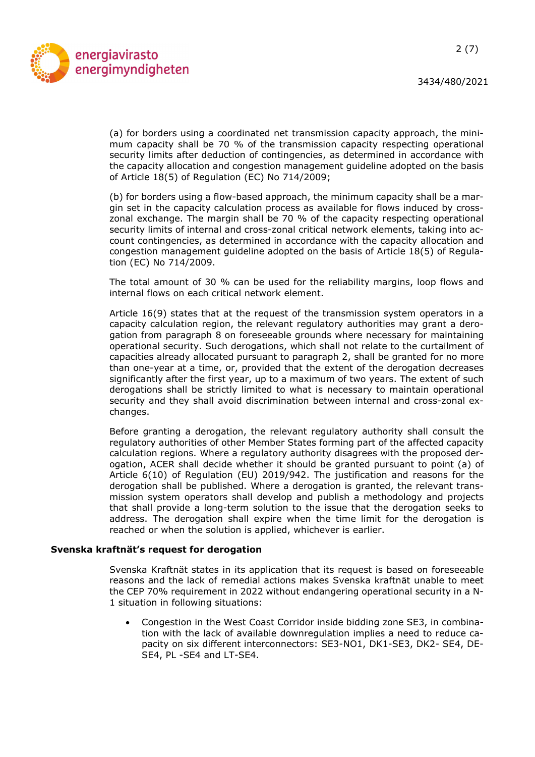

(a) for borders using a coordinated net transmission capacity approach, the minimum capacity shall be 70 % of the transmission capacity respecting operational security limits after deduction of contingencies, as determined in accordance with the capacity allocation and congestion management guideline adopted on the basis of Article 18(5) of Regulation (EC) No 714/2009;

(b) for borders using a flow-based approach, the minimum capacity shall be a margin set in the capacity calculation process as available for flows induced by crosszonal exchange. The margin shall be 70 % of the capacity respecting operational security limits of internal and cross-zonal critical network elements, taking into account contingencies, as determined in accordance with the capacity allocation and congestion management guideline adopted on the basis of Article 18(5) of Regulation (EC) No 714/2009.

The total amount of 30 % can be used for the reliability margins, loop flows and internal flows on each critical network element.

Article 16(9) states that at the request of the transmission system operators in a capacity calculation region, the relevant regulatory authorities may grant a derogation from paragraph 8 on foreseeable grounds where necessary for maintaining operational security. Such derogations, which shall not relate to the curtailment of capacities already allocated pursuant to paragraph 2, shall be granted for no more than one-year at a time, or, provided that the extent of the derogation decreases significantly after the first year, up to a maximum of two years. The extent of such derogations shall be strictly limited to what is necessary to maintain operational security and they shall avoid discrimination between internal and cross-zonal exchanges.

Before granting a derogation, the relevant regulatory authority shall consult the regulatory authorities of other Member States forming part of the affected capacity calculation regions. Where a regulatory authority disagrees with the proposed derogation, ACER shall decide whether it should be granted pursuant to point (a) of Article 6(10) of Regulation (EU) 2019/942. The justification and reasons for the derogation shall be published. Where a derogation is granted, the relevant transmission system operators shall develop and publish a methodology and projects that shall provide a long-term solution to the issue that the derogation seeks to address. The derogation shall expire when the time limit for the derogation is reached or when the solution is applied, whichever is earlier.

#### Svenska kraftnät's request for derogation

Svenska Kraftnät states in its application that its request is based on foreseeable reasons and the lack of remedial actions makes Svenska kraftnät unable to meet the CEP 70% requirement in 2022 without endangering operational security in a N-1 situation in following situations:

 Congestion in the West Coast Corridor inside bidding zone SE3, in combination with the lack of available downregulation implies a need to reduce capacity on six different interconnectors: SE3-NO1, DK1-SE3, DK2- SE4, DE-SE4, PL -SE4 and LT-SE4.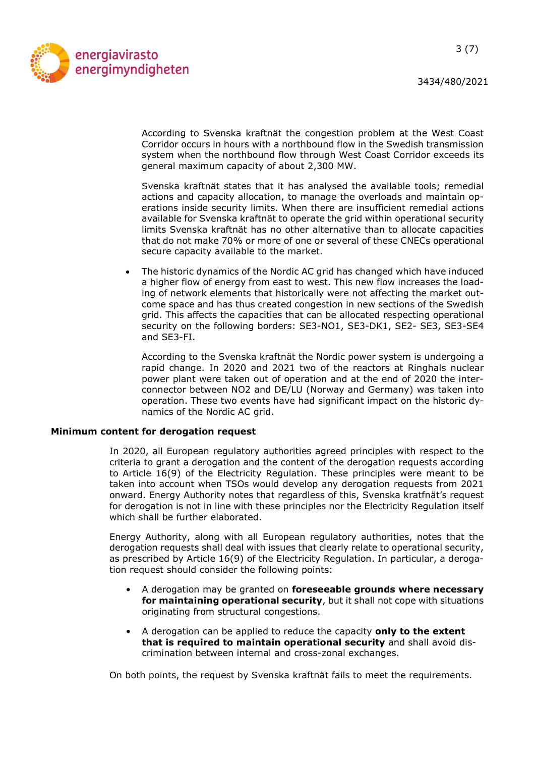

According to Svenska kraftnät the congestion problem at the West Coast Corridor occurs in hours with a northbound flow in the Swedish transmission system when the northbound flow through West Coast Corridor exceeds its general maximum capacity of about 2,300 MW.

Svenska kraftnät states that it has analysed the available tools; remedial actions and capacity allocation, to manage the overloads and maintain operations inside security limits. When there are insufficient remedial actions available for Svenska kraftnät to operate the grid within operational security limits Svenska kraftnät has no other alternative than to allocate capacities that do not make 70% or more of one or several of these CNECs operational secure capacity available to the market.

 The historic dynamics of the Nordic AC grid has changed which have induced a higher flow of energy from east to west. This new flow increases the loading of network elements that historically were not affecting the market outcome space and has thus created congestion in new sections of the Swedish grid. This affects the capacities that can be allocated respecting operational security on the following borders: SE3-NO1, SE3-DK1, SE2- SE3, SE3-SE4 and SE3-FI.

According to the Svenska kraftnät the Nordic power system is undergoing a rapid change. In 2020 and 2021 two of the reactors at Ringhals nuclear power plant were taken out of operation and at the end of 2020 the interconnector between NO2 and DE/LU (Norway and Germany) was taken into operation. These two events have had significant impact on the historic dynamics of the Nordic AC grid.

## Minimum content for derogation request

In 2020, all European regulatory authorities agreed principles with respect to the criteria to grant a derogation and the content of the derogation requests according to Article 16(9) of the Electricity Regulation. These principles were meant to be taken into account when TSOs would develop any derogation requests from 2021 onward. Energy Authority notes that regardless of this, Svenska kratfnät's request for derogation is not in line with these principles nor the Electricity Regulation itself which shall be further elaborated.

Energy Authority, along with all European regulatory authorities, notes that the derogation requests shall deal with issues that clearly relate to operational security, as prescribed by Article 16(9) of the Electricity Regulation. In particular, a derogation request should consider the following points:

- A derogation may be granted on foreseeable grounds where necessary for maintaining operational security, but it shall not cope with situations originating from structural congestions.
- A derogation can be applied to reduce the capacity only to the extent that is required to maintain operational security and shall avoid discrimination between internal and cross-zonal exchanges.

On both points, the request by Svenska kraftnät fails to meet the requirements.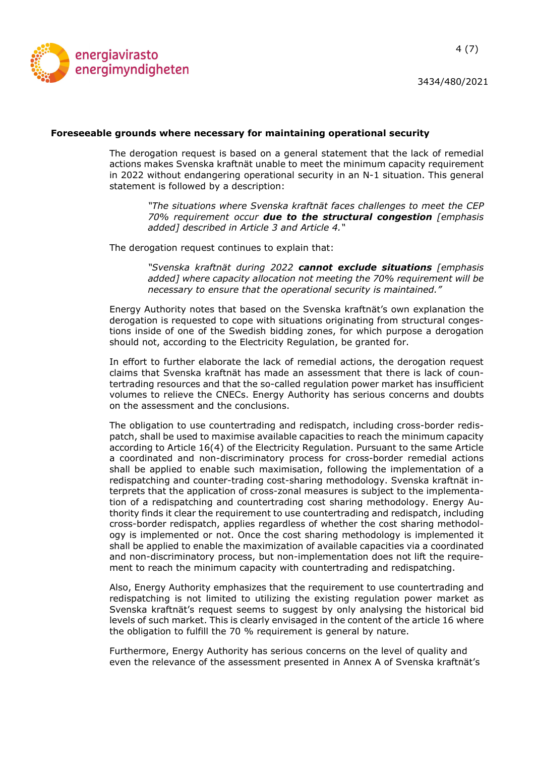

## Foreseeable grounds where necessary for maintaining operational security

The derogation request is based on a general statement that the lack of remedial actions makes Svenska kraftnät unable to meet the minimum capacity requirement in 2022 without endangering operational security in an N-1 situation. This general statement is followed by a description:

> "The situations where Svenska kraftnät faces challenges to meet the CEP  $70\%$  requirement occur due to the structural congestion [emphasis added] described in Article 3 and Article 4."

The derogation request continues to explain that:

"Svenska kraftnät during 2022 cannot exclude situations [emphasis added] where capacity allocation not meeting the 70% requirement will be necessary to ensure that the operational security is maintained."

Energy Authority notes that based on the Svenska kraftnät's own explanation the derogation is requested to cope with situations originating from structural congestions inside of one of the Swedish bidding zones, for which purpose a derogation should not, according to the Electricity Regulation, be granted for.

In effort to further elaborate the lack of remedial actions, the derogation request claims that Svenska kraftnät has made an assessment that there is lack of countertrading resources and that the so-called regulation power market has insufficient volumes to relieve the CNECs. Energy Authority has serious concerns and doubts on the assessment and the conclusions.

The obligation to use countertrading and redispatch, including cross-border redispatch, shall be used to maximise available capacities to reach the minimum capacity according to Article 16(4) of the Electricity Regulation. Pursuant to the same Article a coordinated and non-discriminatory process for cross-border remedial actions shall be applied to enable such maximisation, following the implementation of a redispatching and counter-trading cost-sharing methodology. Svenska kraftnät interprets that the application of cross-zonal measures is subject to the implementation of a redispatching and countertrading cost sharing methodology. Energy Authority finds it clear the requirement to use countertrading and redispatch, including cross-border redispatch, applies regardless of whether the cost sharing methodology is implemented or not. Once the cost sharing methodology is implemented it shall be applied to enable the maximization of available capacities via a coordinated and non-discriminatory process, but non-implementation does not lift the requirement to reach the minimum capacity with countertrading and redispatching.

Also, Energy Authority emphasizes that the requirement to use countertrading and redispatching is not limited to utilizing the existing regulation power market as Svenska kraftnät's request seems to suggest by only analysing the historical bid levels of such market. This is clearly envisaged in the content of the article 16 where the obligation to fulfill the 70 % requirement is general by nature.

Furthermore, Energy Authority has serious concerns on the level of quality and even the relevance of the assessment presented in Annex A of Svenska kraftnät's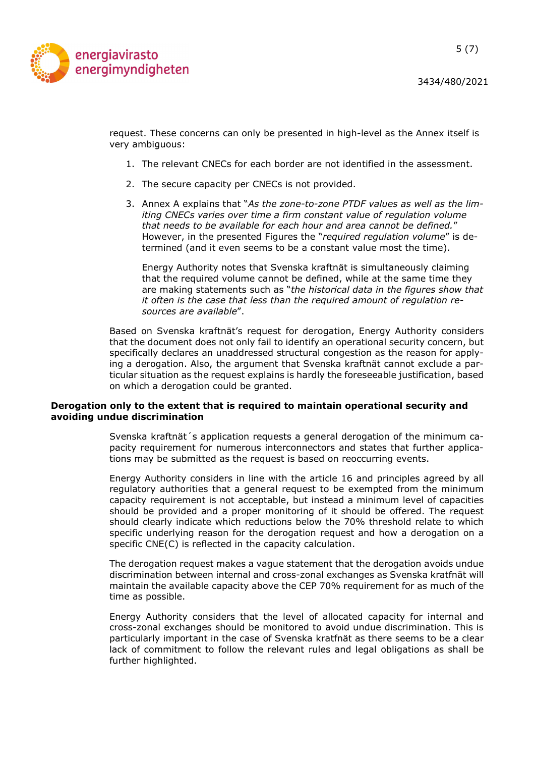

3434/480/2021

5 (7)

request. These concerns can only be presented in high-level as the Annex itself is very ambiguous:

- 1. The relevant CNECs for each border are not identified in the assessment.
- 2. The secure capacity per CNECs is not provided.
- 3. Annex A explains that "As the zone-to-zone PTDF values as well as the limiting CNECs varies over time a firm constant value of regulation volume that needs to be available for each hour and area cannot be defined." However, in the presented Figures the "required regulation volume" is determined (and it even seems to be a constant value most the time).

Energy Authority notes that Svenska kraftnät is simultaneously claiming that the required volume cannot be defined, while at the same time they are making statements such as "the historical data in the figures show that it often is the case that less than the required amount of regulation resources are available".

Based on Svenska kraftnät's request for derogation, Energy Authority considers that the document does not only fail to identify an operational security concern, but specifically declares an unaddressed structural congestion as the reason for applying a derogation. Also, the argument that Svenska kraftnät cannot exclude a particular situation as the request explains is hardly the foreseeable justification, based on which a derogation could be granted.

## Derogation only to the extent that is required to maintain operational security and avoiding undue discrimination

Svenska kraftnät´s application requests a general derogation of the minimum capacity requirement for numerous interconnectors and states that further applications may be submitted as the request is based on reoccurring events.

Energy Authority considers in line with the article 16 and principles agreed by all regulatory authorities that a general request to be exempted from the minimum capacity requirement is not acceptable, but instead a minimum level of capacities should be provided and a proper monitoring of it should be offered. The request should clearly indicate which reductions below the 70% threshold relate to which specific underlying reason for the derogation request and how a derogation on a specific CNE(C) is reflected in the capacity calculation.

The derogation request makes a vague statement that the derogation avoids undue discrimination between internal and cross-zonal exchanges as Svenska kratfnät will maintain the available capacity above the CEP 70% requirement for as much of the time as possible.

Energy Authority considers that the level of allocated capacity for internal and cross-zonal exchanges should be monitored to avoid undue discrimination. This is particularly important in the case of Svenska kratfnät as there seems to be a clear lack of commitment to follow the relevant rules and legal obligations as shall be further highlighted.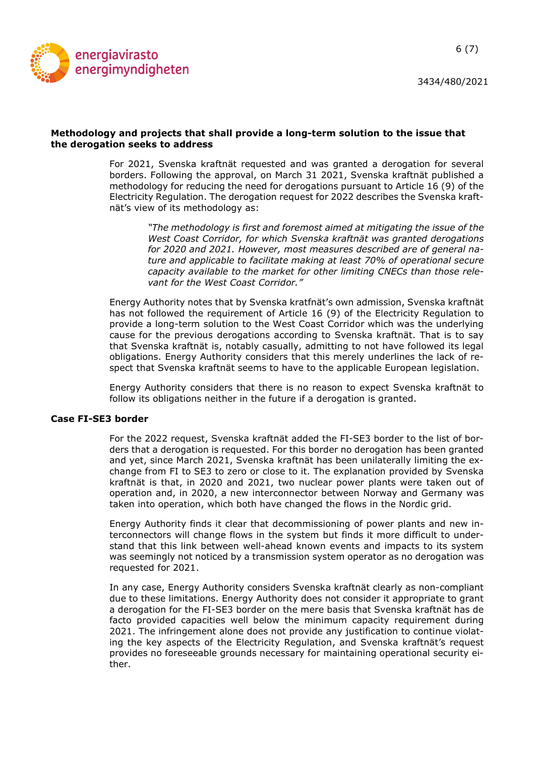

## Methodology and projects that shall provide a long-term solution to the issue that the derogation seeks to address

For 2021, Svenska kraftnät requested and was granted a derogation for several borders. Following the approval, on March 31 2021, Svenska kraftnät published a methodology for reducing the need for derogations pursuant to Article 16 (9) of the Electricity Regulation. The derogation request for 2022 describes the Svenska kraftnät's view of its methodology as:

> "The methodology is first and foremost aimed at mitigating the issue of the West Coast Corridor, for which Svenska kraftnät was granted derogations for 2020 and 2021. However, most measures described are of general nature and applicable to facilitate making at least 70% of operational secure capacity available to the market for other limiting CNECs than those relevant for the West Coast Corridor."

Energy Authority notes that by Svenska kratfnät's own admission, Svenska kraftnät has not followed the requirement of Article 16 (9) of the Electricity Regulation to provide a long-term solution to the West Coast Corridor which was the underlying cause for the previous derogations according to Svenska kraftnät. That is to say that Svenska kraftnät is, notably casually, admitting to not have followed its legal obligations. Energy Authority considers that this merely underlines the lack of respect that Svenska kraftnät seems to have to the applicable European legislation.

Energy Authority considers that there is no reason to expect Svenska kraftnät to follow its obligations neither in the future if a derogation is granted.

## Case FI-SE3 border

For the 2022 request, Svenska kraftnät added the FI-SE3 border to the list of borders that a derogation is requested. For this border no derogation has been granted and yet, since March 2021, Svenska kraftnät has been unilaterally limiting the exchange from FI to SE3 to zero or close to it. The explanation provided by Svenska kraftnät is that, in 2020 and 2021, two nuclear power plants were taken out of operation and, in 2020, a new interconnector between Norway and Germany was taken into operation, which both have changed the flows in the Nordic grid.

Energy Authority finds it clear that decommissioning of power plants and new interconnectors will change flows in the system but finds it more difficult to understand that this link between well-ahead known events and impacts to its system was seemingly not noticed by a transmission system operator as no derogation was requested for 2021.

In any case, Energy Authority considers Svenska kraftnät clearly as non-compliant due to these limitations. Energy Authority does not consider it appropriate to grant a derogation for the FI-SE3 border on the mere basis that Svenska kraftnät has de facto provided capacities well below the minimum capacity requirement during 2021. The infringement alone does not provide any justification to continue violating the key aspects of the Electricity Regulation, and Svenska kraftnät's request provides no foreseeable grounds necessary for maintaining operational security either.